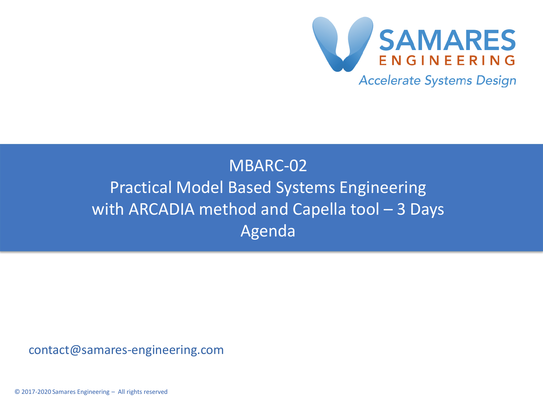

#### MBARC-02 Practical Model Based Systems Engineering with ARCADIA method and Capella tool – 3 Days Agenda

contact@samares-engineering.com

© 2017-2020 Samares Engineering – All rights reserved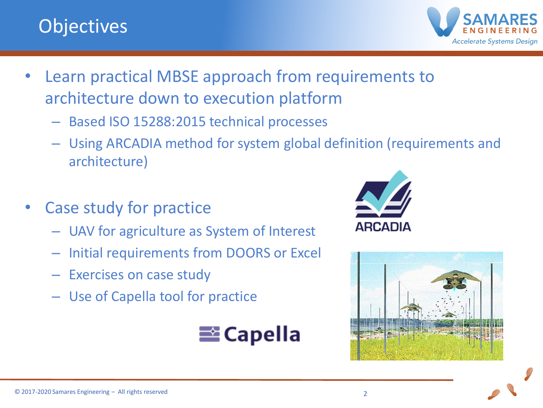# **Objectives**



- Learn practical MBSE approach from requirements to architecture down to execution platform
	- Based ISO 15288:2015 technical processes
	- Using ARCADIA method for system global definition (requirements and architecture)
- Case study for practice
	- UAV for agriculture as System of Interest
	- Initial requirements from DOORS or Excel
	- Exercises on case study
	- Use of Capella tool for practice





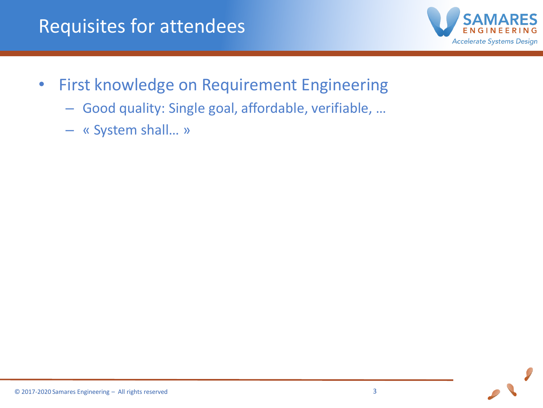

- First knowledge on Requirement Engineering
	- Good quality: Single goal, affordable, verifiable, …
	- « System shall… »

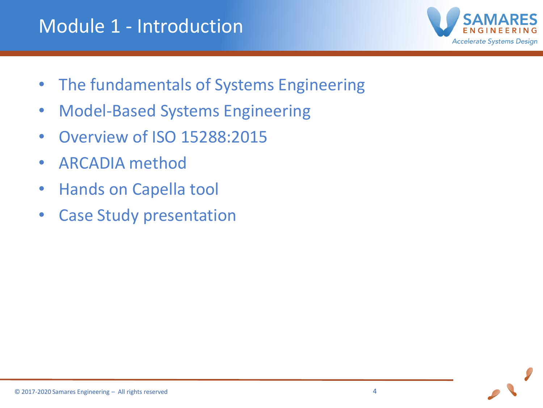

- The fundamentals of Systems Engineering
- Model-Based Systems Engineering
- Overview of ISO 15288:2015
- ARCADIA method
- Hands on Capella tool
- Case Study presentation

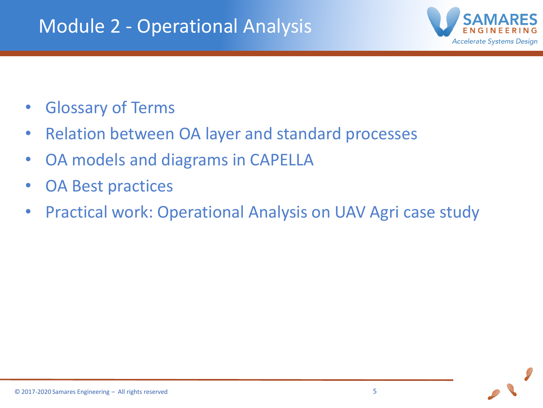## Module 2 - Operational Analysis



- Glossary of Terms
- Relation between OA layer and standard processes
- OA models and diagrams in CAPELLA
- OA Best practices
- Practical work: Operational Analysis on UAV Agri case study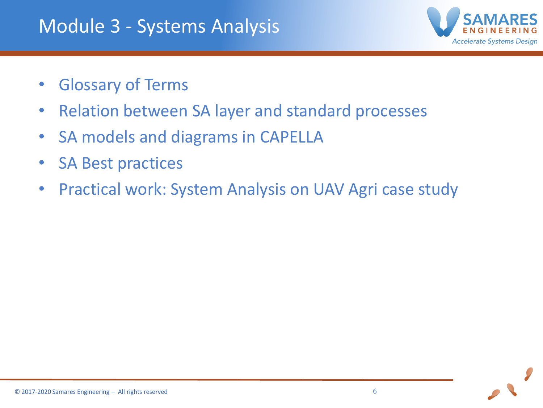## Module 3 - Systems Analysis



- Glossary of Terms
- Relation between SA layer and standard processes
- SA models and diagrams in CAPELLA
- SA Best practices
- Practical work: System Analysis on UAV Agri case study

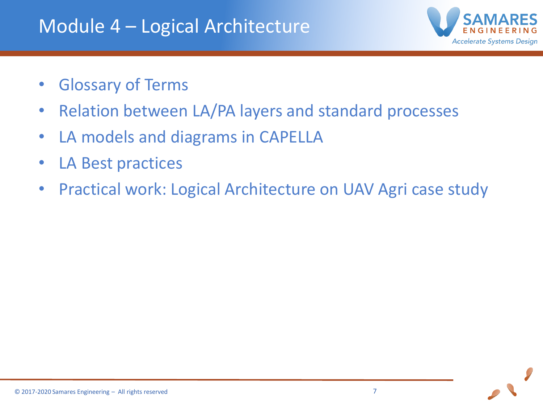

- Glossary of Terms
- Relation between LA/PA layers and standard processes
- LA models and diagrams in CAPELLA
- LA Best practices
- Practical work: Logical Architecture on UAV Agri case study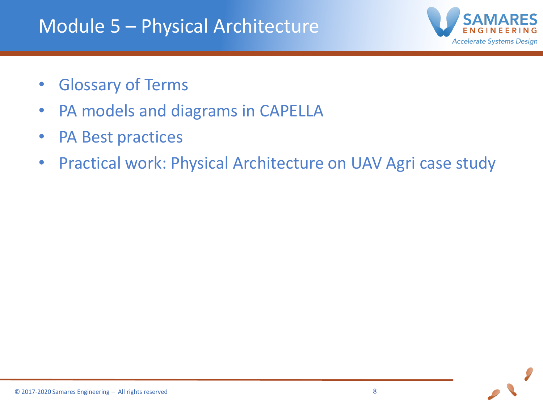## Module 5 – Physical Architecture



- Glossary of Terms
- PA models and diagrams in CAPELLA
- PA Best practices
- Practical work: Physical Architecture on UAV Agri case study